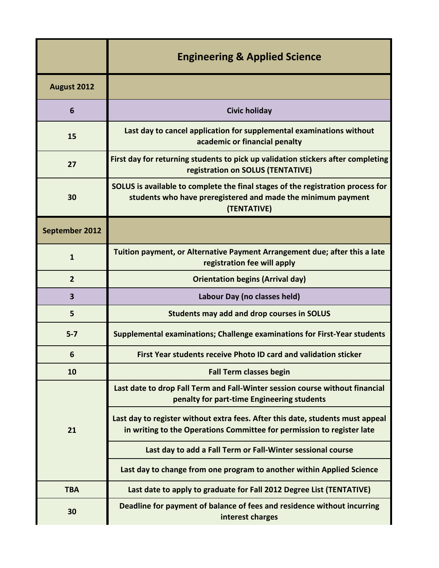|                         | <b>Engineering &amp; Applied Science</b>                                                                                                                       |
|-------------------------|----------------------------------------------------------------------------------------------------------------------------------------------------------------|
| August 2012             |                                                                                                                                                                |
| 6                       | <b>Civic holiday</b>                                                                                                                                           |
| 15                      | Last day to cancel application for supplemental examinations without<br>academic or financial penalty                                                          |
| 27                      | First day for returning students to pick up validation stickers after completing<br>registration on SOLUS (TENTATIVE)                                          |
| 30                      | SOLUS is available to complete the final stages of the registration process for<br>students who have preregistered and made the minimum payment<br>(TENTATIVE) |
| September 2012          |                                                                                                                                                                |
| $\mathbf{1}$            | Tuition payment, or Alternative Payment Arrangement due; after this a late<br>registration fee will apply                                                      |
| $\overline{2}$          | <b>Orientation begins (Arrival day)</b>                                                                                                                        |
| $\overline{\mathbf{3}}$ | Labour Day (no classes held)                                                                                                                                   |
| 5                       | <b>Students may add and drop courses in SOLUS</b>                                                                                                              |
| $5 - 7$                 | Supplemental examinations; Challenge examinations for First-Year students                                                                                      |
| 6                       | First Year students receive Photo ID card and validation sticker                                                                                               |
| 10                      | <b>Fall Term classes begin</b>                                                                                                                                 |
| 21                      | Last date to drop Fall Term and Fall-Winter session course without financial<br>penalty for part-time Engineering students                                     |
|                         | Last day to register without extra fees. After this date, students must appeal<br>in writing to the Operations Committee for permission to register late       |
|                         | Last day to add a Fall Term or Fall-Winter sessional course                                                                                                    |
|                         | Last day to change from one program to another within Applied Science                                                                                          |
| <b>TBA</b>              | Last date to apply to graduate for Fall 2012 Degree List (TENTATIVE)                                                                                           |
| 30                      | Deadline for payment of balance of fees and residence without incurring<br>interest charges                                                                    |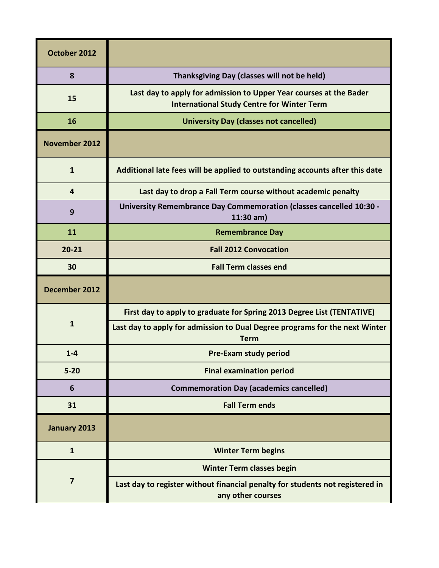| October 2012         |                                                                                                                         |
|----------------------|-------------------------------------------------------------------------------------------------------------------------|
| 8                    | Thanksgiving Day (classes will not be held)                                                                             |
| 15                   | Last day to apply for admission to Upper Year courses at the Bader<br><b>International Study Centre for Winter Term</b> |
| 16                   | <b>University Day (classes not cancelled)</b>                                                                           |
| <b>November 2012</b> |                                                                                                                         |
| $\mathbf{1}$         | Additional late fees will be applied to outstanding accounts after this date                                            |
| 4                    | Last day to drop a Fall Term course without academic penalty                                                            |
| 9                    | <b>University Remembrance Day Commemoration (classes cancelled 10:30 -</b><br>$11:30$ am)                               |
| 11                   | <b>Remembrance Day</b>                                                                                                  |
| $20 - 21$            | <b>Fall 2012 Convocation</b>                                                                                            |
| 30                   | <b>Fall Term classes end</b>                                                                                            |
| December 2012        |                                                                                                                         |
|                      | First day to apply to graduate for Spring 2013 Degree List (TENTATIVE)                                                  |
| $\mathbf{1}$         | Last day to apply for admission to Dual Degree programs for the next Winter<br><b>Term</b>                              |
| $1 - 4$              | <b>Pre-Exam study period</b>                                                                                            |
| $5 - 20$             | <b>Final examination period</b>                                                                                         |
| 6                    | <b>Commemoration Day (academics cancelled)</b>                                                                          |
| 31                   | <b>Fall Term ends</b>                                                                                                   |
| January 2013         |                                                                                                                         |
| $\mathbf{1}$         | <b>Winter Term begins</b>                                                                                               |
| $\overline{7}$       | <b>Winter Term classes begin</b>                                                                                        |
|                      | Last day to register without financial penalty for students not registered in<br>any other courses                      |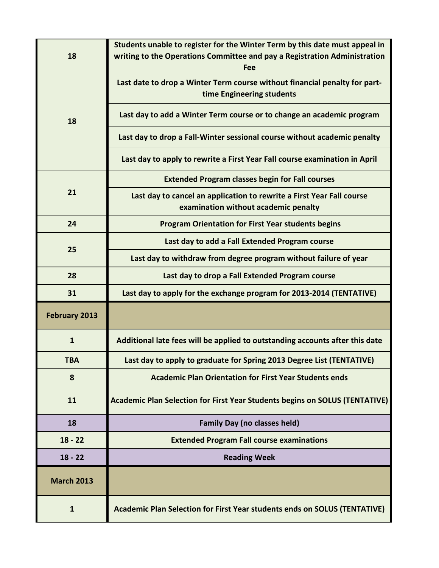| 18                | Students unable to register for the Winter Term by this date must appeal in<br>writing to the Operations Committee and pay a Registration Administration<br>Fee |
|-------------------|-----------------------------------------------------------------------------------------------------------------------------------------------------------------|
| 18                | Last date to drop a Winter Term course without financial penalty for part-<br>time Engineering students                                                         |
|                   | Last day to add a Winter Term course or to change an academic program                                                                                           |
|                   | Last day to drop a Fall-Winter sessional course without academic penalty                                                                                        |
|                   | Last day to apply to rewrite a First Year Fall course examination in April                                                                                      |
|                   | <b>Extended Program classes begin for Fall courses</b>                                                                                                          |
| 21                | Last day to cancel an application to rewrite a First Year Fall course<br>examination without academic penalty                                                   |
| 24                | <b>Program Orientation for First Year students begins</b>                                                                                                       |
| 25                | Last day to add a Fall Extended Program course                                                                                                                  |
|                   | Last day to withdraw from degree program without failure of year                                                                                                |
| 28                | Last day to drop a Fall Extended Program course                                                                                                                 |
| 31                | Last day to apply for the exchange program for 2013-2014 (TENTATIVE)                                                                                            |
| February 2013     |                                                                                                                                                                 |
| $\mathbf{1}$      | Additional late fees will be applied to outstanding accounts after this date                                                                                    |
| TBA               | Last day to apply to graduate for Spring 2013 Degree List (TENTATIVE)                                                                                           |
| 8                 | <b>Academic Plan Orientation for First Year Students ends</b>                                                                                                   |
| 11                | Academic Plan Selection for First Year Students begins on SOLUS (TENTATIVE)                                                                                     |
| 18                | <b>Family Day (no classes held)</b>                                                                                                                             |
| $18 - 22$         | <b>Extended Program Fall course examinations</b>                                                                                                                |
| $18 - 22$         | <b>Reading Week</b>                                                                                                                                             |
| <b>March 2013</b> |                                                                                                                                                                 |
| $\mathbf{1}$      | Academic Plan Selection for First Year students ends on SOLUS (TENTATIVE)                                                                                       |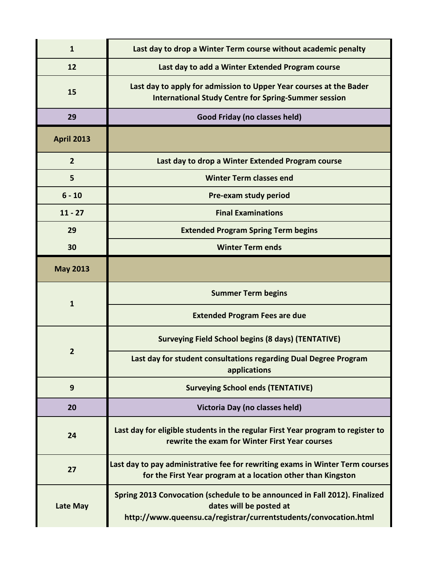| $\mathbf{1}$      | Last day to drop a Winter Term course without academic penalty                                                                                |
|-------------------|-----------------------------------------------------------------------------------------------------------------------------------------------|
| 12                | Last day to add a Winter Extended Program course                                                                                              |
| 15                | Last day to apply for admission to Upper Year courses at the Bader<br><b>International Study Centre for Spring-Summer session</b>             |
| 29                | Good Friday (no classes held)                                                                                                                 |
| <b>April 2013</b> |                                                                                                                                               |
| $\overline{2}$    | Last day to drop a Winter Extended Program course                                                                                             |
| 5                 | <b>Winter Term classes end</b>                                                                                                                |
| $6 - 10$          | Pre-exam study period                                                                                                                         |
| $11 - 27$         | <b>Final Examinations</b>                                                                                                                     |
| 29                | <b>Extended Program Spring Term begins</b>                                                                                                    |
| 30                | <b>Winter Term ends</b>                                                                                                                       |
| <b>May 2013</b>   |                                                                                                                                               |
|                   |                                                                                                                                               |
|                   | <b>Summer Term begins</b>                                                                                                                     |
| 1                 | <b>Extended Program Fees are due</b>                                                                                                          |
|                   | <b>Surveying Field School begins (8 days) (TENTATIVE)</b>                                                                                     |
| $\overline{2}$    | Last day for student consultations regarding Dual Degree Program<br>applications                                                              |
| 9                 | <b>Surveying School ends (TENTATIVE)</b>                                                                                                      |
| 20                | Victoria Day (no classes held)                                                                                                                |
| 24                | Last day for eligible students in the regular First Year program to register to<br>rewrite the exam for Winter First Year courses             |
| 27                | Last day to pay administrative fee for rewriting exams in Winter Term courses<br>for the First Year program at a location other than Kingston |